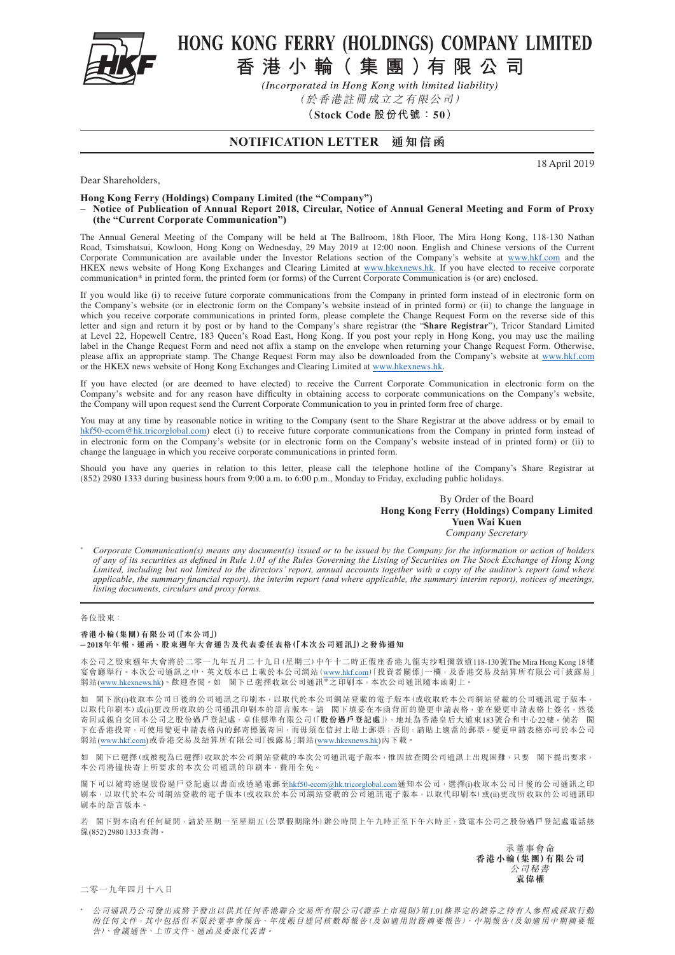

# HONG KONG FERRY (HOLDINGS) COMPANY LIMITED

香港小輪(集團)有限公司

(Incorporated in Hong Kong with limited liability)

(於香港註冊成立之有限公司)

**(Stock Code 股份代號:50)**

### **NOTIFICATION LETTER 通知信函**

18 April 2019

Dear Shareholders,

**Hong Kong Ferry (Holdings) Company Limited (the "Company")**

**– Notice of Publication of Annual Report 2018, Circular, Notice of Annual General Meeting and Form of Proxy (the "Current Corporate Communication")**

The Annual General Meeting of the Company will be held at The Ballroom, 18th Floor, The Mira Hong Kong, 118-130 Nathan Road, Tsimshatsui, Kowloon, Hong Kong on Wednesday, 29 May 2019 at 12:00 noon. English and Chinese versions of the Current Corporate Communication are available under the Investor Relations section of the Company's website at [www.hkf.com](http://www.hkf.com/en/index.php?) and the HKEX news website of Hong Kong Exchanges and Clearing Limited at [www.hkexnews.hk.](http://www.hkexnews.hk/index.htm) If you have elected to receive corporate communication\* in printed form, the printed form (or forms) of the Current Corporate Communication is (or are) enclosed.

If you would like (i) to receive future corporate communications from the Company in printed form instead of in electronic form on the Company's website (or in electronic form on the Company's website instead of in printed form) or (ii) to change the language in which you receive corporate communications in printed form, please complete the Change Request Form on the reverse side of this letter and sign and return it by post or by hand to the Company's share registrar (the "**Share Registrar**"), Tricor Standard Limited at Level 22, Hopewell Centre, 183 Queen's Road East, Hong Kong. If you post your reply in Hong Kong, you may use the mailing label in the Change Request Form and need not affix a stamp on the envelope when returning your Change Request Form. Otherwise, please affix an appropriate stamp. The Change Request Form may also be downloaded from the Company's website at [www.hkf.com](http://www.hkf.com/en/index.php?) or the HKEX news website of Hong Kong Exchanges and Clearing Limited at [www.hkexnews.hk](http://www.hkexnews.hk/index.htm).

If you have elected (or are deemed to have elected) to receive the Current Corporate Communication in electronic form on the Company's website and for any reason have difficulty in obtaining access to corporate communications on the Company's website, the Company will upon request send the Current Corporate Communication to you in printed form free of charge.

You may at any time by reasonable notice in writing to the Company (sent to the Share Registrar at the above address or by email to [hkf50-ecom@hk.tricorglobal.com](mailto:hkf50-ecom%40hk.tricorglobal.com?subject=)) elect (i) to receive future corporate communications from the Company in printed form instead of in electronic form on the Company's website (or in electronic form on the Company's website instead of in printed form) or (ii) to change the language in which you receive corporate communications in printed form.

Should you have any queries in relation to this letter, please call the telephone hotline of the Company's Share Registrar at (852) 2980 1333 during business hours from 9:00 a.m. to 6:00 p.m., Monday to Friday, excluding public holidays.

#### By Order of the Board **Hong Kong Ferry (Holdings) Company Limited Yuen Wai Kuen** *Company Secretary*

\* *Corporate Communication(s) means any document(s) issued or to be issued by the Company for the information or action of holders of any of its securities as defined in Rule 1.01 of the Rules Governing the Listing of Securities on The Stock Exchange of Hong Kong Limited, including but not limited to the directors' report, annual accounts together with a copy of the auditor's report (and where applicable, the summary financial report), the interim report (and where applicable, the summary interim report), notices of meetings, listing documents, circulars and proxy forms.*

#### 各位股東:

#### **香港小輪(集團)有限公司(「本公司」)**

#### **– 2018年年報、通函、股東週年大會通告及代表委任表格(「本次公司通訊」)之發佈通知**

本公司之股東週年大會將於二零一九年五月二十九日(星期三)中午十二時正假座香港九龍尖沙咀彌敦道118-130號The Mira Hong Kong 18樓 宴會廳舉行。本次公司通訊之中、英文版本已上載於本公司網站(<u>[www.hkf.com](http://www.hkf.com/tc/index.php?)</u>)「投資者關係」一欄,及香港交易及結算所有限公司「披露易」<br>網站(<u>www.hkexnews.hk</u>)。歡迎查閲。如 閣下已選擇收取公司通訊\*之印刷本,本次公司通訊隨本函附上。

如 閣下欲(i)收取本公司日後的公司通訊之印刷本,以取代於本公司網站登載的電子版本(或收取於本公司網站登載的公司通訊電子版本, 以取代印刷本)或(ii)更改所收取的公司通訊印刷本的語言版本,請 閣下填妥在本函背面的變更申請表格,並在變更申請表格上簽名,然後 寄回或親自交回本公司之股份過戶登記處,卓佳標準有限公司(「**股份過戶登記處**」),地址為香港皇后大道東183號合和中心22樓。倘若 閣 下在香港投寄,可使用變更申請表格內的郵寄標籤寄回,而毋須在信封上貼上郵票;否則,請貼上適當的郵票。變更申請表格亦可於本公司 網站([www.hkf.com\)](http://www.hkf.com/tc/index.php?)或香港交易及結算所有限公司「披露易」網站([www.hkexnews.hk\)](http://www.hkexnews.hk/index_c.htm)內下載。

如 閣下已選擇(或被視為已選擇)收取於本公司網站登載的本次公司通訊電子版本,惟因故查閱公司通訊上出現困難,只要 閣下提出要求, 本公司將儘快寄上所要求的本次公司通訊的印刷本,費用全免。

閣下可以隨時透過股份過戶登記處以書面或透過電郵至[hkf50-ecom@hk.tricorglobal.com](mailto:hkf50-ecom%40hk.tricorglobal.com?subject=)</u>通知本公司,選擇(i)收取本公司日後的公司通訊之印 刷本,以取代於本公司網站登載的電子版本(或收取於本公司網站登載的公司通訊電子版本,以取代印刷本)或(ii)更改所收取的公司通訊印 刷本的語言版本。

若 閣下對本函有任何疑問,請於星期一至星期五(公眾假期除外)辦公時間上午九時正至下午六時正,致電本公司之股份過戶登記處電話熱 線(852) 2980 1333杏詢。

> 承董事會命 **香港小輪(集團)有限公司** 公司秘書 **袁偉權**

二零一九年四月十八日

\* 公司通訊乃公司發出或將予發出以供其任何香港聯合交易所有限公司《證券上市規則》第1.01條界定的證券之持有人參照或採取行動 的任何文件,其中包括但不限於董事會報告、年度賬目連同核數師報告(及如適用財務摘要報告)、中期報告(及如適用中期摘要報 告)、會議通告、上市文件、通函及委派代表書。